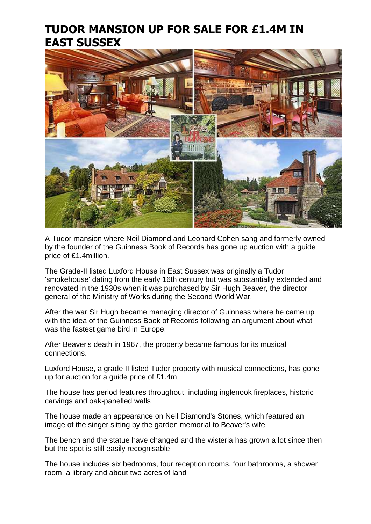## **TUDOR MANSION UP FOR SALE FOR £1.4M IN EAST SUSSEX**



A Tudor mansion where Neil Diamond and Leonard Cohen sang and formerly owned by the founder of the Guinness Book of Records has gone up auction with a guide price of £1.4million.

The Grade-II listed Luxford House in East Sussex was originally a Tudor 'smokehouse' dating from the early 16th century but was substantially extended and renovated in the 1930s when it was purchased by Sir Hugh Beaver, the director general of the Ministry of Works during the Second World War.

After the war Sir Hugh became managing director of Guinness where he came up with the idea of the Guinness Book of Records following an argument about what was the fastest game bird in Europe.

After Beaver's death in 1967, the property became famous for its musical connections.

Luxford House, a grade II listed Tudor property with musical connections, has gone up for auction for a guide price of £1.4m

The house has period features throughout, including inglenook fireplaces, historic carvings and oak-panelled walls

The house made an appearance on Neil Diamond's Stones, which featured an image of the singer sitting by the garden memorial to Beaver's wife

The bench and the statue have changed and the wisteria has grown a lot since then but the spot is still easily recognisable

The house includes six bedrooms, four reception rooms, four bathrooms, a shower room, a library and about two acres of land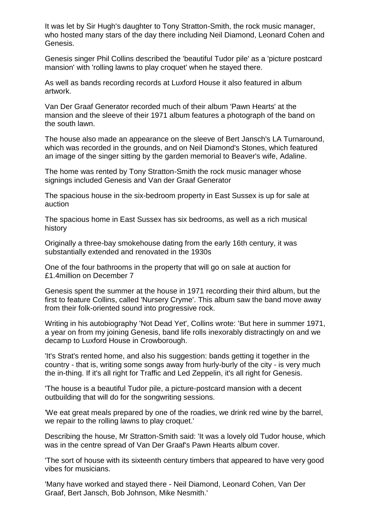It was let by Sir Hugh's daughter to Tony Stratton-Smith, the rock music manager, who hosted many stars of the day there including Neil Diamond, Leonard Cohen and Genesis.

Genesis singer Phil Collins described the 'beautiful Tudor pile' as a 'picture postcard mansion' with 'rolling lawns to play croquet' when he stayed there.

As well as bands recording records at Luxford House it also featured in album artwork.

Van Der Graaf Generator recorded much of their album 'Pawn Hearts' at the mansion and the sleeve of their 1971 album features a photograph of the band on the south lawn.

The house also made an appearance on the sleeve of Bert Jansch's LA Turnaround, which was recorded in the grounds, and on Neil Diamond's Stones, which featured an image of the singer sitting by the garden memorial to Beaver's wife, Adaline.

The home was rented by Tony Stratton-Smith the rock music manager whose signings included Genesis and Van der Graaf Generator

The spacious house in the six-bedroom property in East Sussex is up for sale at auction

The spacious home in East Sussex has six bedrooms, as well as a rich musical history

Originally a three-bay smokehouse dating from the early 16th century, it was substantially extended and renovated in the 1930s

One of the four bathrooms in the property that will go on sale at auction for £1.4million on December 7

Genesis spent the summer at the house in 1971 recording their third album, but the first to feature Collins, called 'Nursery Cryme'. This album saw the band move away from their folk-oriented sound into progressive rock.

Writing in his autobiography 'Not Dead Yet', Collins wrote: 'But here in summer 1971, a year on from my joining Genesis, band life rolls inexorably distractingly on and we decamp to Luxford House in Crowborough.

'It's Strat's rented home, and also his suggestion: bands getting it together in the country - that is, writing some songs away from hurly-burly of the city - is very much the in-thing. If it's all right for Traffic and Led Zeppelin, it's all right for Genesis.

'The house is a beautiful Tudor pile, a picture-postcard mansion with a decent outbuilding that will do for the songwriting sessions.

'We eat great meals prepared by one of the roadies, we drink red wine by the barrel, we repair to the rolling lawns to play croquet.'

Describing the house, Mr Stratton-Smith said: 'It was a lovely old Tudor house, which was in the centre spread of Van Der Graaf's Pawn Hearts album cover.

'The sort of house with its sixteenth century timbers that appeared to have very good vibes for musicians.

'Many have worked and stayed there - Neil Diamond, Leonard Cohen, Van Der Graaf, Bert Jansch, Bob Johnson, Mike Nesmith.'